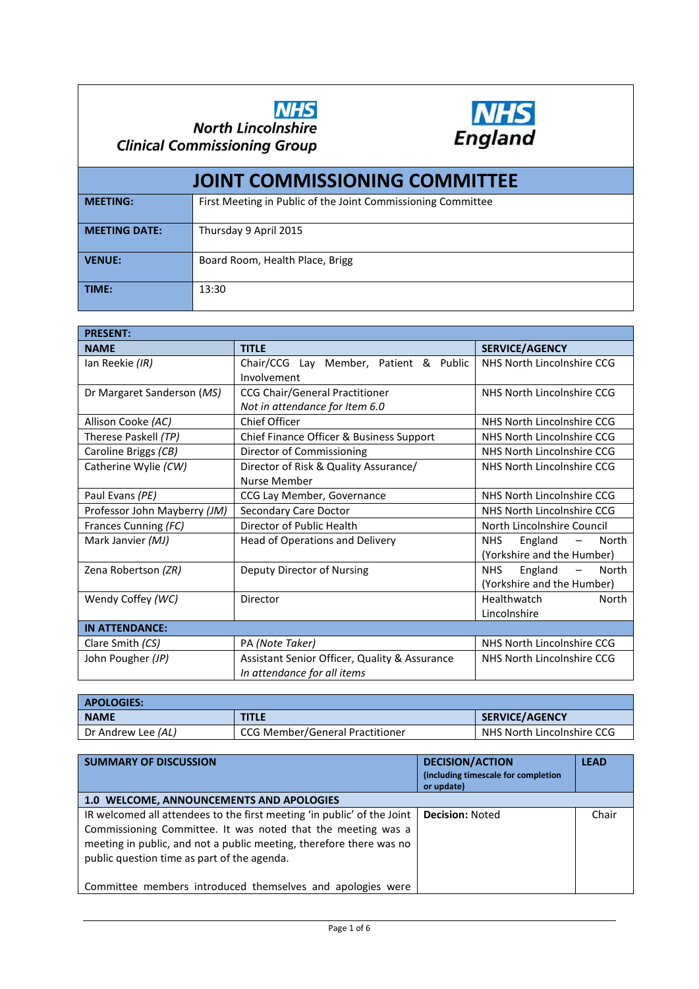



| <b>JOINT COMMISSIONING COMMITTEE</b> |                                                              |  |  |
|--------------------------------------|--------------------------------------------------------------|--|--|
| <b>MEETING:</b>                      | First Meeting in Public of the Joint Commissioning Committee |  |  |
| <b>MEETING DATE:</b>                 | Thursday 9 April 2015                                        |  |  |
| <b>VENUE:</b>                        | Board Room, Health Place, Brigg                              |  |  |
| TIME:                                | 13:30                                                        |  |  |

| <b>PRESENT:</b>              |                                               |                             |
|------------------------------|-----------------------------------------------|-----------------------------|
| <b>NAME</b>                  | <b>TITLE</b>                                  | <b>SERVICE/AGENCY</b>       |
| Ian Reekie (IR)              | Chair/CCG Lay Member, Patient & Public        | NHS North Lincolnshire CCG  |
|                              | Involvement                                   |                             |
| Dr Margaret Sanderson (MS)   | <b>CCG Chair/General Practitioner</b>         | NHS North Lincolnshire CCG  |
|                              | Not in attendance for Item 6.0                |                             |
| Allison Cooke (AC)           | Chief Officer                                 | NHS North Lincolnshire CCG  |
| Therese Paskell (TP)         | Chief Finance Officer & Business Support      | NHS North Lincolnshire CCG  |
| Caroline Briggs (CB)         | Director of Commissioning                     | NHS North Lincolnshire CCG  |
| Catherine Wylie (CW)         | Director of Risk & Quality Assurance/         | NHS North Lincolnshire CCG  |
|                              | Nurse Member                                  |                             |
| Paul Evans (PE)              | CCG Lay Member, Governance                    | NHS North Lincolnshire CCG  |
| Professor John Mayberry (JM) | Secondary Care Doctor                         | NHS North Lincolnshire CCG  |
| Frances Cunning (FC)         | Director of Public Health                     | North Lincolnshire Council  |
| Mark Janvier (MJ)            | Head of Operations and Delivery               | NHS.<br>England<br>North    |
|                              |                                               | (Yorkshire and the Humber)  |
| Zena Robertson (ZR)          | Deputy Director of Nursing                    | England<br>North<br>NHS.    |
|                              |                                               | (Yorkshire and the Humber)  |
| Wendy Coffey (WC)            | Director                                      | <b>Healthwatch</b><br>North |
|                              |                                               | Lincolnshire                |
| <b>IN ATTENDANCE:</b>        |                                               |                             |
| Clare Smith (CS)             | PA (Note Taker)                               | NHS North Lincolnshire CCG  |
| John Pougher (JP)            | Assistant Senior Officer, Quality & Assurance | NHS North Lincolnshire CCG  |
|                              | In attendance for all items                   |                             |

| <b>APOLOGIES:</b>         |                                 |                            |  |
|---------------------------|---------------------------------|----------------------------|--|
| <b>NAME</b>               | <b>TITLE</b>                    | <b>SERVICE/AGENCY</b>      |  |
| Dr Andrew Lee <i>(AL)</i> | CCG Member/General Practitioner | NHS North Lincolnshire CCG |  |

| <b>SUMMARY OF DISCUSSION</b>                                                                                                                                                                                                                                                                                                | <b>DECISION/ACTION</b><br>(including timescale for completion<br>or update) | <b>LEAD</b> |
|-----------------------------------------------------------------------------------------------------------------------------------------------------------------------------------------------------------------------------------------------------------------------------------------------------------------------------|-----------------------------------------------------------------------------|-------------|
| 1.0 WELCOME, ANNOUNCEMENTS AND APOLOGIES                                                                                                                                                                                                                                                                                    |                                                                             |             |
| IR welcomed all attendees to the first meeting 'in public' of the Joint<br>Commissioning Committee. It was noted that the meeting was a<br>meeting in public, and not a public meeting, therefore there was no<br>public question time as part of the agenda.<br>Committee members introduced themselves and apologies were | <b>Decision: Noted</b>                                                      | Chair       |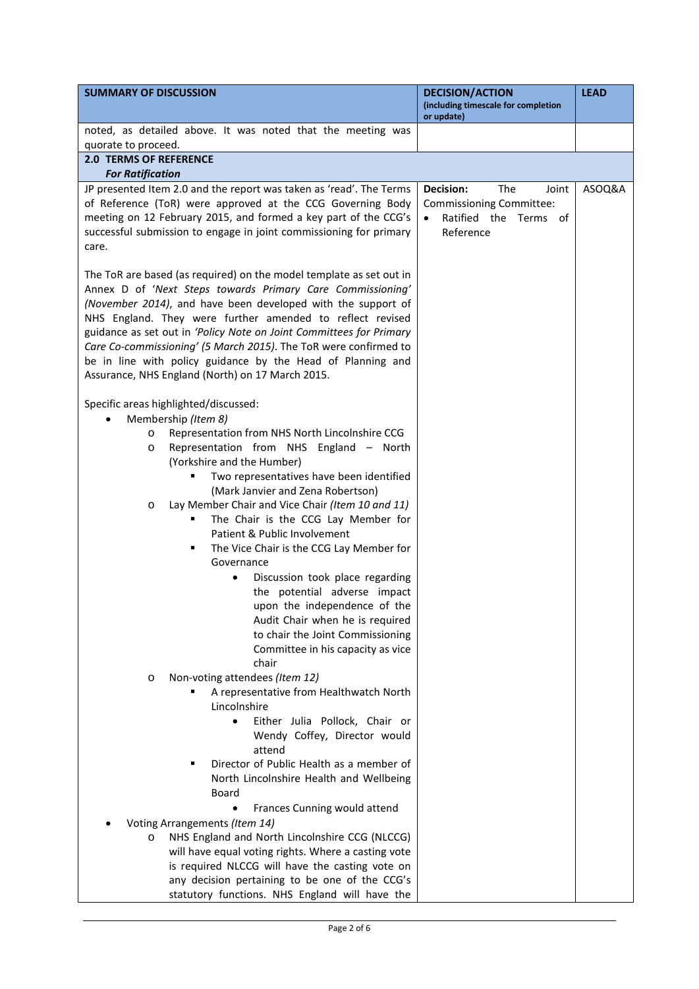| <b>SUMMARY OF DISCUSSION</b>                                                                           | <b>DECISION/ACTION</b><br>(including timescale for completion | <b>LEAD</b> |
|--------------------------------------------------------------------------------------------------------|---------------------------------------------------------------|-------------|
|                                                                                                        | or update)                                                    |             |
| noted, as detailed above. It was noted that the meeting was<br>quorate to proceed.                     |                                                               |             |
| <b>2.0 TERMS OF REFERENCE</b>                                                                          |                                                               |             |
| <b>For Ratification</b>                                                                                |                                                               |             |
| JP presented Item 2.0 and the report was taken as 'read'. The Terms                                    | <b>Decision:</b><br>The<br>Joint                              | ASOQ&A      |
| of Reference (ToR) were approved at the CCG Governing Body                                             | Commissioning Committee:                                      |             |
| meeting on 12 February 2015, and formed a key part of the CCG's                                        | Ratified the Terms of                                         |             |
| successful submission to engage in joint commissioning for primary                                     | Reference                                                     |             |
| care.                                                                                                  |                                                               |             |
|                                                                                                        |                                                               |             |
| The ToR are based (as required) on the model template as set out in                                    |                                                               |             |
| Annex D of 'Next Steps towards Primary Care Commissioning'                                             |                                                               |             |
| (November 2014), and have been developed with the support of                                           |                                                               |             |
| NHS England. They were further amended to reflect revised                                              |                                                               |             |
| guidance as set out in 'Policy Note on Joint Committees for Primary                                    |                                                               |             |
| Care Co-commissioning' (5 March 2015). The ToR were confirmed to                                       |                                                               |             |
| be in line with policy guidance by the Head of Planning and                                            |                                                               |             |
| Assurance, NHS England (North) on 17 March 2015.                                                       |                                                               |             |
| Specific areas highlighted/discussed:                                                                  |                                                               |             |
| Membership (Item 8)                                                                                    |                                                               |             |
| Representation from NHS North Lincolnshire CCG<br>$\circ$                                              |                                                               |             |
| Representation from NHS England - North<br>$\circ$                                                     |                                                               |             |
| (Yorkshire and the Humber)                                                                             |                                                               |             |
| Two representatives have been identified<br>٠                                                          |                                                               |             |
| (Mark Janvier and Zena Robertson)                                                                      |                                                               |             |
| Lay Member Chair and Vice Chair (Item 10 and 11)<br>O                                                  |                                                               |             |
| The Chair is the CCG Lay Member for<br>٠                                                               |                                                               |             |
| Patient & Public Involvement                                                                           |                                                               |             |
| The Vice Chair is the CCG Lay Member for<br>٠                                                          |                                                               |             |
| Governance                                                                                             |                                                               |             |
| Discussion took place regarding                                                                        |                                                               |             |
| the potential adverse impact                                                                           |                                                               |             |
| upon the independence of the<br>Audit Chair when he is required                                        |                                                               |             |
| to chair the Joint Commissioning                                                                       |                                                               |             |
| Committee in his capacity as vice                                                                      |                                                               |             |
| chair                                                                                                  |                                                               |             |
| Non-voting attendees (Item 12)<br>$\circ$                                                              |                                                               |             |
| A representative from Healthwatch North                                                                |                                                               |             |
| Lincolnshire                                                                                           |                                                               |             |
| Either Julia Pollock, Chair or<br>$\bullet$                                                            |                                                               |             |
| Wendy Coffey, Director would                                                                           |                                                               |             |
| attend                                                                                                 |                                                               |             |
| Director of Public Health as a member of<br>٠                                                          |                                                               |             |
| North Lincolnshire Health and Wellbeing                                                                |                                                               |             |
| Board                                                                                                  |                                                               |             |
| Frances Cunning would attend                                                                           |                                                               |             |
| Voting Arrangements (Item 14)                                                                          |                                                               |             |
| NHS England and North Lincolnshire CCG (NLCCG)<br>$\circ$                                              |                                                               |             |
| will have equal voting rights. Where a casting vote<br>is required NLCCG will have the casting vote on |                                                               |             |
| any decision pertaining to be one of the CCG's                                                         |                                                               |             |
| statutory functions. NHS England will have the                                                         |                                                               |             |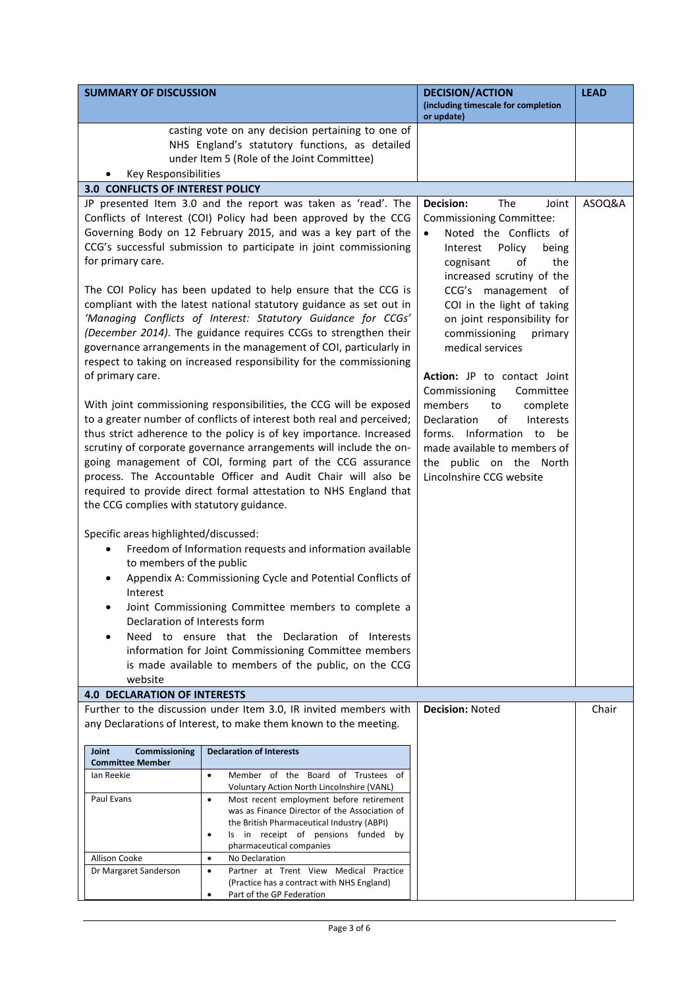| <b>SUMMARY OF DISCUSSION</b>                                                                                                                                                                                                                                                                                                                                                                                                                                                                                                                                                                                                                                                                                                                                                                                                                                                                                                                                                                                                                                                                                                                                                                                                                                                                                                                                                                                                                                                                                                                                                                                                                                                                                                                                       |                                                                                                                                                                                                                                                                                                                                                                      | <b>DECISION/ACTION</b><br>(including timescale for completion<br>or update)                                                                                                                                                                                                                                                                                                                                                                                                                                                                                        | <b>LEAD</b> |
|--------------------------------------------------------------------------------------------------------------------------------------------------------------------------------------------------------------------------------------------------------------------------------------------------------------------------------------------------------------------------------------------------------------------------------------------------------------------------------------------------------------------------------------------------------------------------------------------------------------------------------------------------------------------------------------------------------------------------------------------------------------------------------------------------------------------------------------------------------------------------------------------------------------------------------------------------------------------------------------------------------------------------------------------------------------------------------------------------------------------------------------------------------------------------------------------------------------------------------------------------------------------------------------------------------------------------------------------------------------------------------------------------------------------------------------------------------------------------------------------------------------------------------------------------------------------------------------------------------------------------------------------------------------------------------------------------------------------------------------------------------------------|----------------------------------------------------------------------------------------------------------------------------------------------------------------------------------------------------------------------------------------------------------------------------------------------------------------------------------------------------------------------|--------------------------------------------------------------------------------------------------------------------------------------------------------------------------------------------------------------------------------------------------------------------------------------------------------------------------------------------------------------------------------------------------------------------------------------------------------------------------------------------------------------------------------------------------------------------|-------------|
|                                                                                                                                                                                                                                                                                                                                                                                                                                                                                                                                                                                                                                                                                                                                                                                                                                                                                                                                                                                                                                                                                                                                                                                                                                                                                                                                                                                                                                                                                                                                                                                                                                                                                                                                                                    | casting vote on any decision pertaining to one of<br>NHS England's statutory functions, as detailed<br>under Item 5 (Role of the Joint Committee)                                                                                                                                                                                                                    |                                                                                                                                                                                                                                                                                                                                                                                                                                                                                                                                                                    |             |
|                                                                                                                                                                                                                                                                                                                                                                                                                                                                                                                                                                                                                                                                                                                                                                                                                                                                                                                                                                                                                                                                                                                                                                                                                                                                                                                                                                                                                                                                                                                                                                                                                                                                                                                                                                    |                                                                                                                                                                                                                                                                                                                                                                      |                                                                                                                                                                                                                                                                                                                                                                                                                                                                                                                                                                    |             |
| Key Responsibilities<br>3.0 CONFLICTS OF INTEREST POLICY<br>JP presented Item 3.0 and the report was taken as 'read'. The<br>Conflicts of Interest (COI) Policy had been approved by the CCG<br>Governing Body on 12 February 2015, and was a key part of the<br>CCG's successful submission to participate in joint commissioning<br>for primary care.<br>The COI Policy has been updated to help ensure that the CCG is<br>compliant with the latest national statutory guidance as set out in<br>'Managing Conflicts of Interest: Statutory Guidance for CCGs'<br>(December 2014). The guidance requires CCGs to strengthen their<br>governance arrangements in the management of COI, particularly in<br>respect to taking on increased responsibility for the commissioning<br>of primary care.<br>With joint commissioning responsibilities, the CCG will be exposed<br>to a greater number of conflicts of interest both real and perceived;<br>thus strict adherence to the policy is of key importance. Increased<br>scrutiny of corporate governance arrangements will include the on-<br>going management of COI, forming part of the CCG assurance<br>process. The Accountable Officer and Audit Chair will also be<br>required to provide direct formal attestation to NHS England that<br>the CCG complies with statutory guidance.<br>Specific areas highlighted/discussed:<br>Freedom of Information requests and information available<br>to members of the public<br>Appendix A: Commissioning Cycle and Potential Conflicts of<br>Interest<br>Joint Commissioning Committee members to complete a<br>Declaration of Interests form<br>Need to ensure that the Declaration of Interests<br>information for Joint Commissioning Committee members |                                                                                                                                                                                                                                                                                                                                                                      | Decision:<br>The<br>Joint<br><b>Commissioning Committee:</b><br>Noted the Conflicts of<br>Policy<br>Interest<br>being<br>cognisant<br>of<br>the<br>increased scrutiny of the<br>CCG's management of<br>COI in the light of taking<br>on joint responsibility for<br>commissioning<br>primary<br>medical services<br>Action: JP to contact Joint<br>Commissioning<br>Committee<br>members<br>complete<br>to<br>Declaration<br>of<br>Interests<br>forms. Information to<br>be<br>made available to members of<br>the public on the North<br>Lincolnshire CCG website | ASOQ&A      |
| <b>4.0 DECLARATION OF INTERESTS</b>                                                                                                                                                                                                                                                                                                                                                                                                                                                                                                                                                                                                                                                                                                                                                                                                                                                                                                                                                                                                                                                                                                                                                                                                                                                                                                                                                                                                                                                                                                                                                                                                                                                                                                                                |                                                                                                                                                                                                                                                                                                                                                                      |                                                                                                                                                                                                                                                                                                                                                                                                                                                                                                                                                                    |             |
|                                                                                                                                                                                                                                                                                                                                                                                                                                                                                                                                                                                                                                                                                                                                                                                                                                                                                                                                                                                                                                                                                                                                                                                                                                                                                                                                                                                                                                                                                                                                                                                                                                                                                                                                                                    | Further to the discussion under Item 3.0, IR invited members with<br>any Declarations of Interest, to make them known to the meeting.                                                                                                                                                                                                                                | <b>Decision: Noted</b>                                                                                                                                                                                                                                                                                                                                                                                                                                                                                                                                             | Chair       |
| Joint<br>Commissioning<br><b>Committee Member</b>                                                                                                                                                                                                                                                                                                                                                                                                                                                                                                                                                                                                                                                                                                                                                                                                                                                                                                                                                                                                                                                                                                                                                                                                                                                                                                                                                                                                                                                                                                                                                                                                                                                                                                                  | <b>Declaration of Interests</b>                                                                                                                                                                                                                                                                                                                                      |                                                                                                                                                                                                                                                                                                                                                                                                                                                                                                                                                                    |             |
| Ian Reekie<br>Paul Evans<br>Allison Cooke                                                                                                                                                                                                                                                                                                                                                                                                                                                                                                                                                                                                                                                                                                                                                                                                                                                                                                                                                                                                                                                                                                                                                                                                                                                                                                                                                                                                                                                                                                                                                                                                                                                                                                                          | Member of the Board of Trustees of<br>$\bullet$<br>Voluntary Action North Lincolnshire (VANL)<br>Most recent employment before retirement<br>$\bullet$<br>was as Finance Director of the Association of<br>the British Pharmaceutical Industry (ABPI)<br>Is in receipt of pensions funded by<br>$\bullet$<br>pharmaceutical companies<br>No Declaration<br>$\bullet$ |                                                                                                                                                                                                                                                                                                                                                                                                                                                                                                                                                                    |             |
| Dr Margaret Sanderson                                                                                                                                                                                                                                                                                                                                                                                                                                                                                                                                                                                                                                                                                                                                                                                                                                                                                                                                                                                                                                                                                                                                                                                                                                                                                                                                                                                                                                                                                                                                                                                                                                                                                                                                              | Partner at Trent View Medical Practice<br>$\bullet$<br>(Practice has a contract with NHS England)<br>Part of the GP Federation<br>٠                                                                                                                                                                                                                                  |                                                                                                                                                                                                                                                                                                                                                                                                                                                                                                                                                                    |             |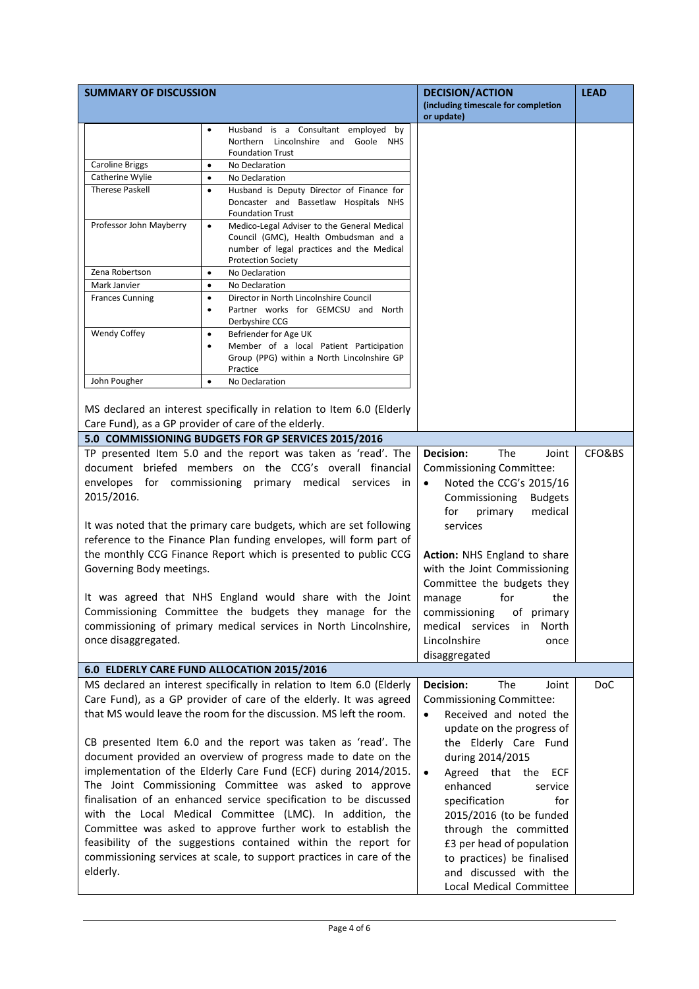| <b>SUMMARY OF DISCUSSION</b>                                                                                                |                                                                                                                                                                     | <b>DECISION/ACTION</b><br>(including timescale for completion | <b>LEAD</b> |
|-----------------------------------------------------------------------------------------------------------------------------|---------------------------------------------------------------------------------------------------------------------------------------------------------------------|---------------------------------------------------------------|-------------|
|                                                                                                                             |                                                                                                                                                                     | or update)                                                    |             |
|                                                                                                                             | Husband is a Consultant employed by<br>$\bullet$                                                                                                                    |                                                               |             |
|                                                                                                                             | Northern Lincolnshire and Goole NHS<br><b>Foundation Trust</b>                                                                                                      |                                                               |             |
| <b>Caroline Briggs</b>                                                                                                      | No Declaration<br>$\bullet$                                                                                                                                         |                                                               |             |
| Catherine Wylie                                                                                                             | No Declaration<br>$\bullet$                                                                                                                                         |                                                               |             |
| <b>Therese Paskell</b>                                                                                                      | Husband is Deputy Director of Finance for<br>٠                                                                                                                      |                                                               |             |
|                                                                                                                             | Doncaster and Bassetlaw Hospitals NHS<br><b>Foundation Trust</b>                                                                                                    |                                                               |             |
| Professor John Mayberry                                                                                                     | Medico-Legal Adviser to the General Medical<br>٠<br>Council (GMC), Health Ombudsman and a<br>number of legal practices and the Medical<br><b>Protection Society</b> |                                                               |             |
| Zena Robertson                                                                                                              | No Declaration<br>$\bullet$                                                                                                                                         |                                                               |             |
| Mark Janvier                                                                                                                | No Declaration<br>٠                                                                                                                                                 |                                                               |             |
| <b>Frances Cunning</b>                                                                                                      | Director in North Lincolnshire Council<br>$\bullet$<br>Partner works for GEMCSU and North<br>$\bullet$<br>Derbyshire CCG                                            |                                                               |             |
| Wendy Coffey                                                                                                                | Befriender for Age UK<br>$\bullet$<br>Member of a local Patient Participation<br>$\bullet$<br>Group (PPG) within a North Lincolnshire GP<br>Practice                |                                                               |             |
| John Pougher                                                                                                                | No Declaration<br>$\bullet$                                                                                                                                         |                                                               |             |
|                                                                                                                             | MS declared an interest specifically in relation to Item 6.0 (Elderly<br>Care Fund), as a GP provider of care of the elderly.                                       |                                                               |             |
|                                                                                                                             | 5.0 COMMISSIONING BUDGETS FOR GP SERVICES 2015/2016                                                                                                                 |                                                               |             |
|                                                                                                                             | TP presented Item 5.0 and the report was taken as 'read'. The                                                                                                       | Decision:<br>The<br>Joint                                     | CFO&BS      |
|                                                                                                                             | document briefed members on the CCG's overall financial                                                                                                             | Commissioning Committee:                                      |             |
|                                                                                                                             |                                                                                                                                                                     |                                                               |             |
|                                                                                                                             | envelopes for commissioning primary medical services in                                                                                                             | Noted the CCG's 2015/16<br>$\bullet$                          |             |
| 2015/2016.                                                                                                                  |                                                                                                                                                                     | Commissioning<br><b>Budgets</b>                               |             |
|                                                                                                                             |                                                                                                                                                                     | medical<br>for<br>primary                                     |             |
| It was noted that the primary care budgets, which are set following                                                         |                                                                                                                                                                     | services                                                      |             |
| reference to the Finance Plan funding envelopes, will form part of                                                          |                                                                                                                                                                     |                                                               |             |
|                                                                                                                             | the monthly CCG Finance Report which is presented to public CCG                                                                                                     | Action: NHS England to share                                  |             |
| Governing Body meetings.                                                                                                    |                                                                                                                                                                     | with the Joint Commissioning                                  |             |
|                                                                                                                             |                                                                                                                                                                     | Committee the budgets they                                    |             |
|                                                                                                                             | It was agreed that NHS England would share with the Joint                                                                                                           | manage<br>for<br>the                                          |             |
|                                                                                                                             | Commissioning Committee the budgets they manage for the                                                                                                             | of primary<br>commissioning                                   |             |
|                                                                                                                             | commissioning of primary medical services in North Lincolnshire,                                                                                                    | medical services<br>in —<br>North                             |             |
| once disaggregated.                                                                                                         |                                                                                                                                                                     | Lincolnshire<br>once                                          |             |
|                                                                                                                             |                                                                                                                                                                     | disaggregated                                                 |             |
|                                                                                                                             | 6.0 ELDERLY CARE FUND ALLOCATION 2015/2016                                                                                                                          |                                                               |             |
|                                                                                                                             | MS declared an interest specifically in relation to Item 6.0 (Elderly                                                                                               | Decision:<br>The<br>Joint                                     | <b>DoC</b>  |
|                                                                                                                             | Care Fund), as a GP provider of care of the elderly. It was agreed                                                                                                  | <b>Commissioning Committee:</b>                               |             |
|                                                                                                                             | that MS would leave the room for the discussion. MS left the room.                                                                                                  | Received and noted the<br>$\bullet$                           |             |
|                                                                                                                             |                                                                                                                                                                     | update on the progress of                                     |             |
|                                                                                                                             | CB presented Item 6.0 and the report was taken as 'read'. The                                                                                                       | the Elderly Care Fund                                         |             |
|                                                                                                                             |                                                                                                                                                                     | during 2014/2015                                              |             |
| document provided an overview of progress made to date on the                                                               |                                                                                                                                                                     |                                                               |             |
| implementation of the Elderly Care Fund (ECF) during 2014/2015.                                                             |                                                                                                                                                                     | Agreed that the<br><b>ECF</b><br>enhanced                     |             |
| The Joint Commissioning Committee was asked to approve<br>finalisation of an enhanced service specification to be discussed |                                                                                                                                                                     | service                                                       |             |
|                                                                                                                             | with the Local Medical Committee (LMC). In addition, the                                                                                                            | specification<br>for                                          |             |
|                                                                                                                             |                                                                                                                                                                     | 2015/2016 (to be funded                                       |             |
|                                                                                                                             | Committee was asked to approve further work to establish the                                                                                                        | through the committed                                         |             |
|                                                                                                                             | feasibility of the suggestions contained within the report for                                                                                                      | £3 per head of population                                     |             |
|                                                                                                                             | commissioning services at scale, to support practices in care of the                                                                                                | to practices) be finalised                                    |             |
| elderly.                                                                                                                    |                                                                                                                                                                     | and discussed with the                                        |             |
|                                                                                                                             |                                                                                                                                                                     | Local Medical Committee                                       |             |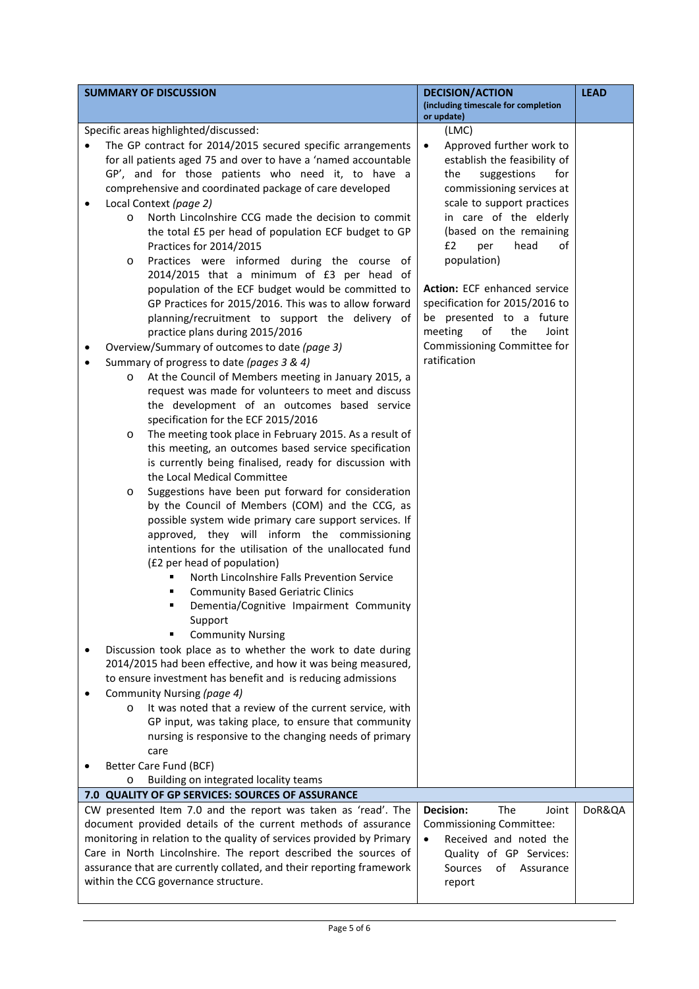| <b>SUMMARY OF DISCUSSION</b>                                                                                                                                           |                                                                                                                                                                                                                                                                                                                                                                                                                                                                                                                                                                                                                                                                                                                                                                                                                                                                                                                                                                                                                                            | <b>DECISION/ACTION</b><br>(including timescale for completion                                                                                                                                                                                                                                                                                                                                                                                       | <b>LEAD</b> |
|------------------------------------------------------------------------------------------------------------------------------------------------------------------------|--------------------------------------------------------------------------------------------------------------------------------------------------------------------------------------------------------------------------------------------------------------------------------------------------------------------------------------------------------------------------------------------------------------------------------------------------------------------------------------------------------------------------------------------------------------------------------------------------------------------------------------------------------------------------------------------------------------------------------------------------------------------------------------------------------------------------------------------------------------------------------------------------------------------------------------------------------------------------------------------------------------------------------------------|-----------------------------------------------------------------------------------------------------------------------------------------------------------------------------------------------------------------------------------------------------------------------------------------------------------------------------------------------------------------------------------------------------------------------------------------------------|-------------|
|                                                                                                                                                                        |                                                                                                                                                                                                                                                                                                                                                                                                                                                                                                                                                                                                                                                                                                                                                                                                                                                                                                                                                                                                                                            | or update)                                                                                                                                                                                                                                                                                                                                                                                                                                          |             |
| Specific areas highlighted/discussed:<br>Local Context (page 2)<br>٠<br>$\circ$<br>Practices for 2014/2015<br>O<br>Summary of progress to date (pages 3 & 4)<br>O<br>O | The GP contract for 2014/2015 secured specific arrangements<br>for all patients aged 75 and over to have a 'named accountable<br>GP', and for those patients who need it, to have a<br>comprehensive and coordinated package of care developed<br>North Lincolnshire CCG made the decision to commit<br>the total £5 per head of population ECF budget to GP<br>Practices were informed during the course of<br>2014/2015 that a minimum of £3 per head of<br>population of the ECF budget would be committed to<br>GP Practices for 2015/2016. This was to allow forward<br>planning/recruitment to support the delivery of<br>practice plans during 2015/2016<br>Overview/Summary of outcomes to date (page 3)<br>At the Council of Members meeting in January 2015, a<br>request was made for volunteers to meet and discuss<br>the development of an outcomes based service<br>specification for the ECF 2015/2016<br>The meeting took place in February 2015. As a result of<br>this meeting, an outcomes based service specification | (LMC)<br>Approved further work to<br>$\bullet$<br>establish the feasibility of<br>the<br>suggestions<br>for<br>commissioning services at<br>scale to support practices<br>in care of the elderly<br>(based on the remaining<br>£2<br>head<br>οf<br>per<br>population)<br>Action: ECF enhanced service<br>specification for 2015/2016 to<br>be presented to a future<br>of<br>the<br>meeting<br>Joint<br>Commissioning Committee for<br>ratification |             |
| the Local Medical Committee<br>O<br>(£2 per head of population)<br>٠<br>Support<br>Community Nursing (page 4)<br>O<br>care<br>Better Care Fund (BCF)                   | is currently being finalised, ready for discussion with<br>Suggestions have been put forward for consideration<br>by the Council of Members (COM) and the CCG, as<br>possible system wide primary care support services. If<br>approved, they will inform the commissioning<br>intentions for the utilisation of the unallocated fund<br>North Lincolnshire Falls Prevention Service<br><b>Community Based Geriatric Clinics</b><br>Dementia/Cognitive Impairment Community<br><b>Community Nursing</b><br>Discussion took place as to whether the work to date during<br>2014/2015 had been effective, and how it was being measured,<br>to ensure investment has benefit and is reducing admissions<br>It was noted that a review of the current service, with<br>GP input, was taking place, to ensure that community<br>nursing is responsive to the changing needs of primary                                                                                                                                                         |                                                                                                                                                                                                                                                                                                                                                                                                                                                     |             |
| O                                                                                                                                                                      | Building on integrated locality teams                                                                                                                                                                                                                                                                                                                                                                                                                                                                                                                                                                                                                                                                                                                                                                                                                                                                                                                                                                                                      |                                                                                                                                                                                                                                                                                                                                                                                                                                                     |             |
|                                                                                                                                                                        | 7.0 QUALITY OF GP SERVICES: SOURCES OF ASSURANCE                                                                                                                                                                                                                                                                                                                                                                                                                                                                                                                                                                                                                                                                                                                                                                                                                                                                                                                                                                                           |                                                                                                                                                                                                                                                                                                                                                                                                                                                     |             |
| within the CCG governance structure.                                                                                                                                   | CW presented Item 7.0 and the report was taken as 'read'. The<br>document provided details of the current methods of assurance<br>monitoring in relation to the quality of services provided by Primary<br>Care in North Lincolnshire. The report described the sources of<br>assurance that are currently collated, and their reporting framework                                                                                                                                                                                                                                                                                                                                                                                                                                                                                                                                                                                                                                                                                         | Decision:<br>The<br>Joint<br><b>Commissioning Committee:</b><br>Received and noted the<br>$\bullet$<br>Quality of GP Services:<br>Sources<br>οf<br>Assurance<br>report                                                                                                                                                                                                                                                                              | DoR&QA      |